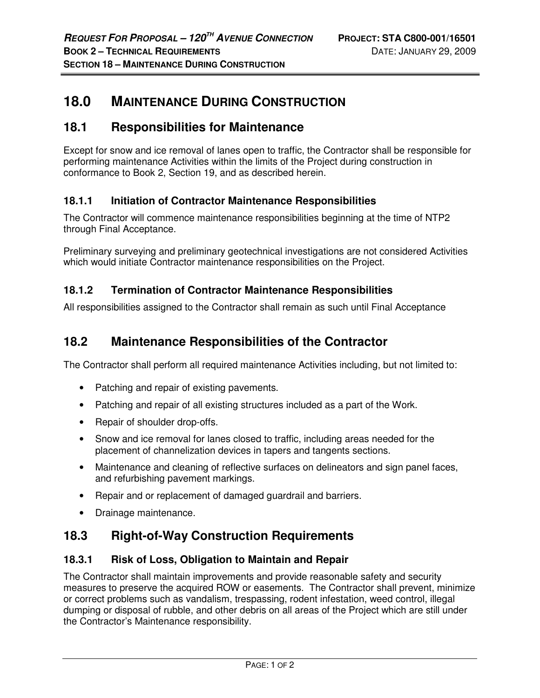# **18.0 MAINTENANCE DURING CONSTRUCTION**

## **18.1 Responsibilities for Maintenance**

Except for snow and ice removal of lanes open to traffic, the Contractor shall be responsible for performing maintenance Activities within the limits of the Project during construction in conformance to Book 2, Section 19, and as described herein.

### **18.1.1 Initiation of Contractor Maintenance Responsibilities**

The Contractor will commence maintenance responsibilities beginning at the time of NTP2 through Final Acceptance.

Preliminary surveying and preliminary geotechnical investigations are not considered Activities which would initiate Contractor maintenance responsibilities on the Project.

#### **18.1.2 Termination of Contractor Maintenance Responsibilities**

All responsibilities assigned to the Contractor shall remain as such until Final Acceptance

### **18.2 Maintenance Responsibilities of the Contractor**

The Contractor shall perform all required maintenance Activities including, but not limited to:

- Patching and repair of existing pavements.
- Patching and repair of all existing structures included as a part of the Work.
- Repair of shoulder drop-offs.
- Snow and ice removal for lanes closed to traffic, including areas needed for the placement of channelization devices in tapers and tangents sections.
- Maintenance and cleaning of reflective surfaces on delineators and sign panel faces, and refurbishing pavement markings.
- Repair and or replacement of damaged guardrail and barriers.
- Drainage maintenance.

### **18.3 Right-of-Way Construction Requirements**

#### **18.3.1 Risk of Loss, Obligation to Maintain and Repair**

The Contractor shall maintain improvements and provide reasonable safety and security measures to preserve the acquired ROW or easements. The Contractor shall prevent, minimize or correct problems such as vandalism, trespassing, rodent infestation, weed control, illegal dumping or disposal of rubble, and other debris on all areas of the Project which are still under the Contractor's Maintenance responsibility.